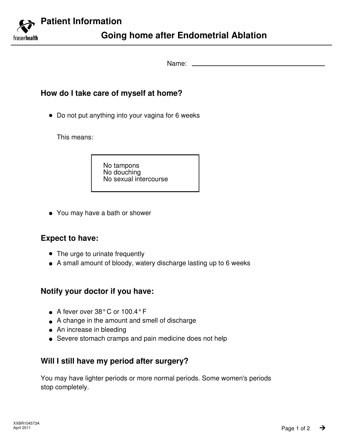

Name:

## **How do I take care of myself at home?**

Do not put anything into your vagina for 6 weeks

This means:

No tampons No douching No sexual intercourse

You may have a bath or shower

# **Expect to have:**

- The urge to urinate frequently
- A small amount of bloody, watery discharge lasting up to 6 weeks

# **Notify your doctor if you have:**

- A fever over 38°C or 100.4°F
- A change in the amount and smell of discharge
- An increase in bleeding
- Severe stomach cramps and pain medicine does not help

# **Will I still have my period after surgery?**

You may have lighter periods or more normal periods. Some women's periods stop completely.